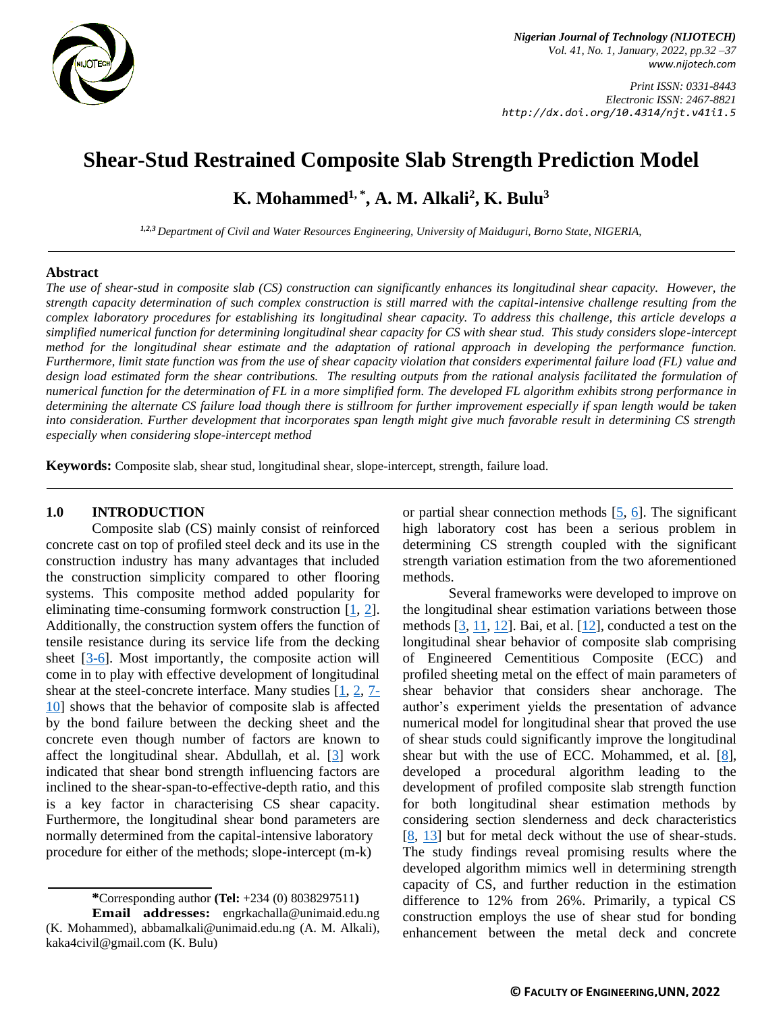

*Print ISSN: 0331-8443 Electronic ISSN: 2467-8821 http://dx.doi.org/10.4314/njt.v41i1.5*

# **Shear-Stud Restrained Composite Slab Strength Prediction Model**

**K. Mohammed1, \*, A. M. Alkali<sup>2</sup> , K. Bulu<sup>3</sup>**

*1,2,3 Department of Civil and Water Resources Engineering, University of Maiduguri, Borno State, NIGERIA,* 

#### **Abstract**

*The use of shear-stud in composite slab (CS) construction can significantly enhances its longitudinal shear capacity. However, the strength capacity determination of such complex construction is still marred with the capital-intensive challenge resulting from the complex laboratory procedures for establishing its longitudinal shear capacity. To address this challenge, this article develops a simplified numerical function for determining longitudinal shear capacity for CS with shear stud. This study considers slope-intercept method for the longitudinal shear estimate and the adaptation of rational approach in developing the performance function. Furthermore, limit state function was from the use of shear capacity violation that considers experimental failure load (FL) value and design load estimated form the shear contributions. The resulting outputs from the rational analysis facilitated the formulation of numerical function for the determination of FL in a more simplified form. The developed FL algorithm exhibits strong performance in determining the alternate CS failure load though there is stillroom for further improvement especially if span length would be taken into consideration. Further development that incorporates span length might give much favorable result in determining CS strength especially when considering slope-intercept method*

**Keywords:** Composite slab, shear stud, longitudinal shear, slope-intercept, strength, failure load.

### **1.0 INTRODUCTION**

Composite slab (CS) mainly consist of reinforced concrete cast on top of profiled steel deck and its use in the construction industry has many advantages that included the construction simplicity compared to other flooring systems. This composite method added popularity for eliminating time-consuming formwork construction  $[1, 2]$  $[1, 2]$ . Additionally, the construction system offers the function of tensile resistance during its service life from the decking sheet [\[3-6\]](#page-5-1). Most importantly, the composite action will come in to play with effective development of longitudinal shear at the steel-concrete interface. Many studies [\[1,](#page-4-0) [2,](#page-5-0) [7-](#page-5-2) [10\]](#page-5-2) shows that the behavior of composite slab is affected by the bond failure between the decking sheet and the concrete even though number of factors are known to affect the longitudinal shear. Abdullah, et al. [\[3\]](#page-5-1) work indicated that shear bond strength influencing factors are inclined to the shear-span-to-effective-depth ratio, and this is a key factor in characterising CS shear capacity. Furthermore, the longitudinal shear bond parameters are normally determined from the capital-intensive laboratory procedure for either of the methods; slope-intercept (m-k)

**\***Corresponding author **[\(Te](mailto:samnnaemeka.ugwu@unn.edu.ng)l:** +234 (0) 8038297511**)**

or partial shear connection methods  $[5, 6]$  $[5, 6]$ . The significant high laboratory cost has been a serious problem in determining CS strength coupled with the significant strength variation estimation from the two aforementioned methods.

Several frameworks were developed to improve on the longitudinal shear estimation variations between those methods  $[3, 11, 12]$  $[3, 11, 12]$  $[3, 11, 12]$ . Bai, et al.  $[12]$ , conducted a test on the longitudinal shear behavior of composite slab comprising of Engineered Cementitious Composite (ECC) and profiled sheeting metal on the effect of main parameters of shear behavior that considers shear anchorage. The author's experiment yields the presentation of advance numerical model for longitudinal shear that proved the use of shear studs could significantly improve the longitudinal shear but with the use of ECC. Mohammed, et al. [\[8\]](#page-5-7), developed a procedural algorithm leading to the development of profiled composite slab strength function for both longitudinal shear estimation methods by considering section slenderness and deck characteristics [\[8,](#page-5-7) [13\]](#page-5-8) but for metal deck without the use of shear-studs. The study findings reveal promising results where the developed algorithm mimics well in determining strength capacity of CS, and further reduction in the estimation difference to 12% from 26%. Primarily, a typical CS construction employs the use of shear stud for bonding enhancement between the metal deck and concrete

**Email addresses:** [engrkachalla@unimaid.edu.ng](mailto:engrkachalla@unimaid.edu.ng) (K. Mohammed), [abbamalkali@unimaid.edu.ng](mailto:abbamalkali@unimaid.edu.ng) (A. M. Alkali), [kaka4civil@gmail.com](mailto:kaka4civil@gmail.com) (K. Bulu)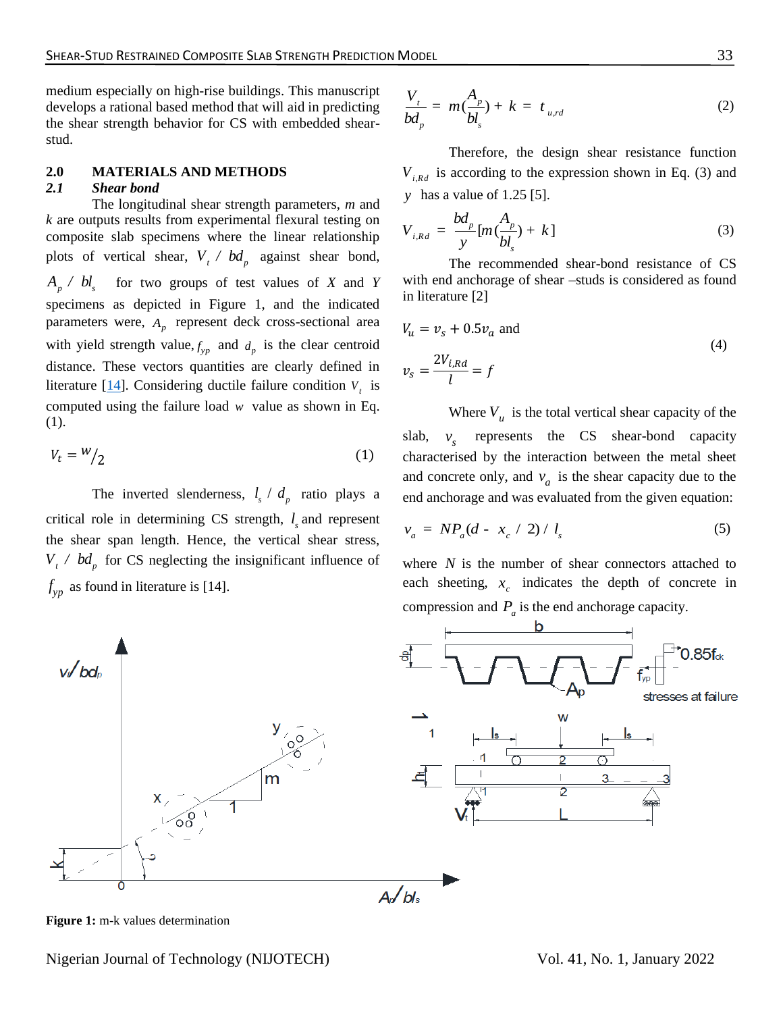medium especially on high-rise buildings. This manuscript develops a rational based method that will aid in predicting the shear strength behavior for CS with embedded shearstud.

#### **2.0 MATERIALS AND METHODS**

#### *2.1 Shear bond*

The longitudinal shear strength parameters, *m* and *k* are outputs results from experimental flexural testing on composite slab specimens where the linear relationship plots of vertical shear,  $V_t / bd_p$  against shear bond,  $A_p \, / \, bl_s$  for two groups of test values of *X* and *Y* specimens as depicted in Figure 1, and the indicated parameters were, *A p* represent deck cross-sectional area with yield strength value,  $f_{yp}$  and  $d_p$  is the clear centroid distance. These vectors quantities are clearly defined in literature  $[14]$ . Considering ductile failure condition  $V_t$  is computed using the failure load *w* value as shown in Eq. (1).

$$
V_t = \frac{W}{2} \tag{1}
$$

The inverted slenderness,  $l_s / d_p$  ratio plays a critical role in determining CS strength,  $l_s$  and represent the shear span length. Hence, the vertical shear stress,  $V_t / bd_p$  for CS neglecting the insignificant influence of  $f_{yp}$  as found in literature is [14].



Therefore, the design shear resistance function  $V_{i, Rd}$  is according to the expression shown in Eq. (3) and *y* has a value of 1.25 [5].

$$
V_{i, Rd} = \frac{bd_p}{y} [m(\frac{A_p}{bl_s}) + k]
$$
 (3)

The recommended shear-bond resistance of CS with end anchorage of shear –studs is considered as found in literature [2]

$$
V_u = v_s + 0.5v_a
$$
 and  

$$
v_s = \frac{2V_{i, Rd}}{l} = f
$$
 (4)

Where  $V_{\mu}$  is the total vertical shear capacity of the slab,  $v_s$  represents the CS shear-bond capacity characterised by the interaction between the metal sheet and concrete only, and  $v_a$  is the shear capacity due to the end anchorage and was evaluated from the given equation:

$$
v_a = NP_a(d - x_c / 2) / l_s
$$
 (5)

where  $N$  is the number of shear connectors attached to each sheeting,  $x_c$  indicates the depth of concrete in compression and  $P_a$  is the end anchorage capacity.



**Figure 1:** m-k values determination

Nigerian Journal of Technology (NIJOTECH) Vol. 41, No. 1, January 2022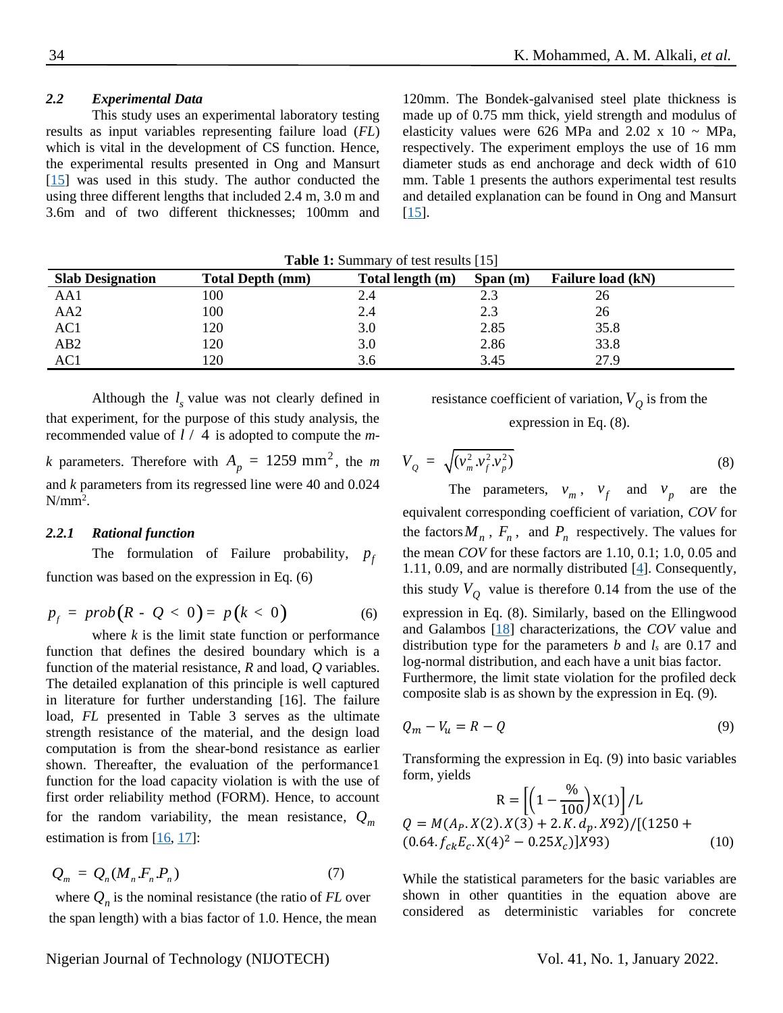# *2.2 Experimental Data*

This study uses an experimental laboratory testing results as input variables representing failure load (*FL*) which is vital in the development of CS function. Hence, the experimental results presented in Ong and Mansurt [\[15\]](#page-5-10) was used in this study. The author conducted the using three different lengths that included 2.4 m, 3.0 m and 3.6m and of two different thicknesses; 100mm and

120mm. The Bondek-galvanised steel plate thickness is made up of 0.75 mm thick, yield strength and modulus of elasticity values were 626 MPa and 2.02 x 10  $\sim$  MPa, respectively. The experiment employs the use of 16 mm diameter studs as end anchorage and deck width of 610 mm. Table 1 presents the authors experimental test results and detailed explanation can be found in Ong and Mansurt [\[15\]](#page-5-10).

| <b>Table 1.</b> Summary of test results $ 13 $ |                         |                  |         |                          |  |  |
|------------------------------------------------|-------------------------|------------------|---------|--------------------------|--|--|
| <b>Slab Designation</b>                        | <b>Total Depth (mm)</b> | Total length (m) | Span(m) | <b>Failure load (kN)</b> |  |  |
| AA1                                            | 100                     | 2.4              | 2.3     | 26                       |  |  |
| AA2                                            | 100                     | 2.4              | 2.3     | 26                       |  |  |
| AC1                                            | 120                     | 3.0              | 2.85    | 35.8                     |  |  |
| AB2                                            | 120                     | 3.0              | 2.86    | 33.8                     |  |  |
| AC1                                            | 120                     | 3.6              | 3.45    | 27.9                     |  |  |

**Table 1:** Summary of test results [15]

Although the  $l_s$  value was not clearly defined in that experiment, for the purpose of this study analysis, the recommended value of *l* / 4 is adopted to compute the *mk* parameters. Therefore with  $A_p = 1259$  mm<sup>2</sup>, the *m* and *k* parameters from its regressed line were 40 and 0.024  $N/mm^2$ .

#### *2.2.1 Rational function*

The formulation of Failure probability,  $p_f$ function was based on the expression in Eq. (6)

$$
p_f = prob(R - Q < 0) = p(k < 0) \tag{6}
$$

where  $k$  is the limit state function or performance function that defines the desired boundary which is a function of the material resistance, *R* and load, *Q* variables. The detailed explanation of this principle is well captured in literature for further understanding [16]. The failure load, *FL* presented in Table 3 serves as the ultimate strength resistance of the material, and the design load computation is from the shear-bond resistance as earlier shown. Thereafter, the evaluation of the performance1 function for the load capacity violation is with the use of first order reliability method (FORM). Hence, to account for the random variability, the mean resistance,  $Q_m$ estimation is from  $[16, 17]$  $[16, 17]$ :

$$
Q_m = Q_n(M_n.F_n.P_n)
$$
 (7)

where  $Q_n$  is the nominal resistance (the ratio of  $FL$  over the span length) with a bias factor of 1.0. Hence, the mean resistance coefficient of variation,  $V_Q$  is from the expression in Eq. (8).

$$
V_Q = \sqrt{\left(v_m^2 \, v_f^2 \, v_p^2\right)}\tag{8}
$$

The parameters,  $v_m$ ,  $v_f$  and  $v_p$  are the equivalent corresponding coefficient of variation, *COV* for the factors  $M_n$ ,  $F_n$ , and  $P_n$  respectively. The values for the mean *COV* for these factors are 1.10, 0.1; 1.0, 0.05 and 1.11, 0.09, and are normally distributed  $[4]$ . Consequently, this study  $V_Q$  value is therefore 0.14 from the use of the expression in Eq. (8). Similarly, based on the Ellingwood and Galambos [\[18\]](#page-5-14) characterizations, the *COV* value and distribution type for the parameters *b* and *l<sup>s</sup>* are 0.17 and log-normal distribution, and each have a unit bias factor. Furthermore, the limit state violation for the profiled deck composite slab is as shown by the expression in Eq. (9).

$$
Q_m - V_u = R - Q \tag{9}
$$

Transforming the expression in Eq. (9) into basic variables form, yields  $\sim$ 

$$
R = \left[ \left( 1 - \frac{\gamma_0}{100} \right) X(1) \right] / L
$$
  
Q = M(A<sub>P</sub>. X(2). X(3) + 2. K. d<sub>p</sub>. X92) / [(1250 + (0.64. f<sub>ck</sub> E<sub>c</sub>. X(4)<sup>2</sup> - 0.25X<sub>c</sub>)]X93) (10)

While the statistical parameters for the basic variables are shown in other quantities in the equation above are considered as deterministic variables for concrete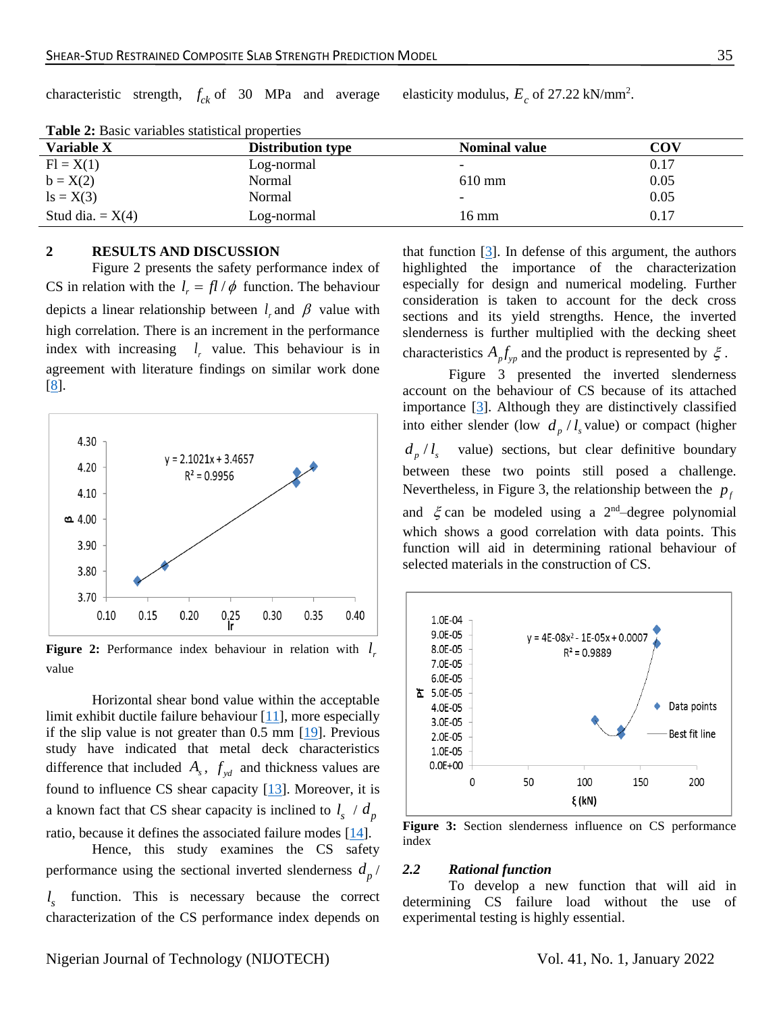characteristic strength,  $f_{ck}$  of 30 MPa and average elasticity modulus,

| <b>Table 2:</b> Basic variables statistical properties |                          |                      |            |  |  |  |
|--------------------------------------------------------|--------------------------|----------------------|------------|--|--|--|
| Variable X                                             | <b>Distribution type</b> | <b>Nominal value</b> | <b>COV</b> |  |  |  |
| $Fl = X(1)$                                            | Log-normal               |                      | 0.17       |  |  |  |
| $b = X(2)$                                             | Normal                   | $610 \text{ mm}$     | 0.05       |  |  |  |
| $ls = X(3)$                                            | Normal                   |                      | 0.05       |  |  |  |
| Stud dia. $=X(4)$                                      | Log-normal               | $16 \text{ mm}$      | 0.17       |  |  |  |

**Table 2:** Basic variables statistical properties

# **2 RESULTS AND DISCUSSION**

Figure 2 presents the safety performance index of CS in relation with the  $l_r = fl / \phi$  function. The behaviour depicts a linear relationship between  $l<sub>r</sub>$  and  $\beta$  value with high correlation. There is an increment in the performance index with increasing  $l_r$  value. This behaviour is in agreement with literature findings on similar work done [\[8\]](#page-5-7).



<span id="page-3-1"></span>**Figure 2:** Performance index behaviour in relation with  $l_r$ value

Horizontal shear bond value within the acceptable limit exhibit ductile failure behaviour  $[11]$ , more especially if the slip value is not greater than 0.5 mm [\[19\]](#page-5-15). Previous study have indicated that metal deck characteristics difference that included  $A_s$ ,  $f_{yd}$  and thickness values are found to influence CS shear capacity  $[13]$ . Moreover, it is a known fact that CS shear capacity is inclined to  $l_s / d_p$ ratio, because it defines the associated failure modes [\[14\]](#page-5-9).

Hence, this study examines the CS safety performance using the sectional inverted slenderness  $d_p$  / *s l* function. This is necessary because the correct characterization of the CS performance index depends on

Nigerian Journal of Technology (NIJOTECH) Vol. 41, No. 1, January 2022

that function [\[3\]](#page-5-1). In defense of this argument, the authors highlighted the importance of the characterization especially for design and numerical modeling. Further consideration is taken to account for the deck cross sections and its yield strengths. Hence, the inverted slenderness is further multiplied with the decking sheet characteristics  $A_p f_{yp}$  and the product is represented by  $\xi$ .

 $E_c$  of 27.22 kN/mm<sup>2</sup>.

[Figure 3](#page-3-0) presented the inverted slenderness account on the behaviour of CS because of its attached importance [\[3\]](#page-5-1). Although they are distinctively classified into either slender (low  $d_p / l_s$  value) or compact (higher  $d_p/l_s$ value) sections, but clear definitive boundary between these two points still posed a challenge. Nevertheless, in [Figure 3,](#page-3-0) the relationship between the  $p_f$ and  $\xi$  can be modeled using a 2<sup>nd</sup>-degree polynomial which shows a good correlation with data points. This function will aid in determining rational behaviour of selected materials in the construction of CS.



<span id="page-3-0"></span>**Figure 3:** Section slenderness influence on CS performance index

## *2.2 Rational function*

To develop a new function that will aid in determining CS failure load without the use of experimental testing is highly essential.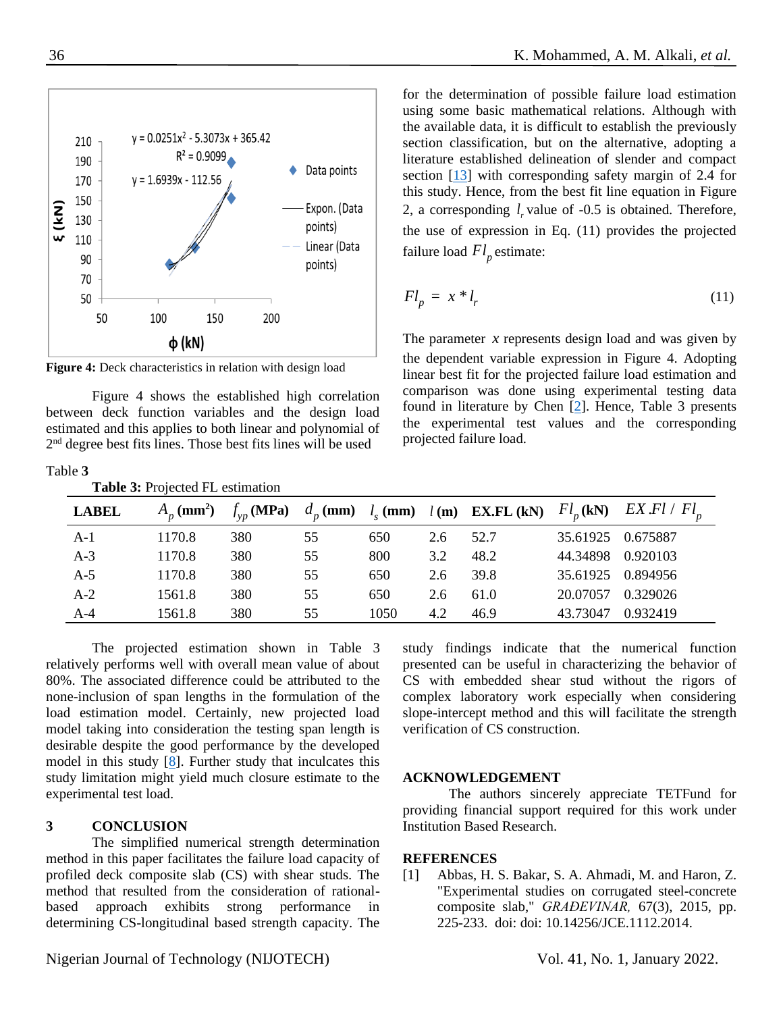

<span id="page-4-1"></span>**Figure 4:** Deck characteristics in relation with design load

Figure 4 shows the established high correlation between deck function variables and the design load estimated and this applies to both linear and polynomial of 2<sup>nd</sup> degree best fits lines. Those best fits lines will be used

## [Table](#page-4-2) **3**

<span id="page-4-2"></span> $\overline{a}$   $\overline{b}$   $\overline{c}$   $\overline{c}$   $\overline{c}$ 

for the determination of possible failure load estimation using some basic mathematical relations. Although with the available data, it is difficult to establish the previously section classification, but on the alternative, adopting a literature established delineation of slender and compact section [\[13\]](#page-5-8) with corresponding safety margin of 2.4 for this study. Hence, from the best fit line equation in [Figure](#page-3-1)  [2,](#page-3-1) a corresponding  $l_r$  value of -0.5 is obtained. Therefore, the use of expression in Eq. (11) provides the projected failure load  $Fl_p$  estimate:

$$
Fl_p = x * l_r \tag{11}
$$

The parameter  $x$  represents design load and was given by the dependent variable expression in [Figure 4.](#page-4-1) Adopting linear best fit for the projected failure load estimation and comparison was done using experimental testing data found in literature by Chen [\[2\]](#page-5-0). Hence, Table 3 presents the experimental test values and the corresponding project[ed failure load.](#page-4-2) 

| <b>Table 5:</b> Projected FL estimation |                          |                   |    |      |     |                                          |                   |                                    |
|-----------------------------------------|--------------------------|-------------------|----|------|-----|------------------------------------------|-------------------|------------------------------------|
| <b>LABEL</b>                            | $A_n$ (mm <sup>2</sup> ) | $f_{\nu p}$ (MPa) |    |      |     | $d_p$ (mm) $l_s$ (mm) $l$ (m) EX.FL (kN) |                   | $Fl_n(\mathbf{kN})$ $EX.Fl / Fl_n$ |
| $A-1$                                   | 1170.8                   | 380               | 55 | 650  | 2.6 | 52.7                                     | 35.61925 0.675887 |                                    |
| $A-3$                                   | 1170.8                   | 380               | 55 | 800  | 3.2 | 48.2                                     |                   | 44.34898 0.920103                  |
| $A-5$                                   | 1170.8                   | 380               | 55 | 650  | 2.6 | 39.8                                     |                   | 35.61925 0.894956                  |
| $A-2$                                   | 1561.8                   | 380               | 55 | 650  | 2.6 | 61.0                                     | 20.07057          | 0.329026                           |
| $A-4$                                   | 1561.8                   | 380               | 55 | 1050 | 4.2 | 46.9                                     | 43.73047          | 0.932419                           |

The projected estimation shown in Table 3 relatively performs well with overall mean value of about 80%. The associated difference could be attributed to the none-inclusion of span lengths in the formulation of the load estimation model. Certainly, new projected load model taking into consideration the testing span length is desirable despite the good performance by the developed model in this study [\[8\]](#page-5-7). Further study that inculcates this study limitation might yield much closure estimate to the experimental test load.

# **3 CONCLUSION**

The simplified numerical strength determination method in this paper facilitates the failure load capacity of profiled deck composite slab (CS) with shear studs. The method that resulted from the consideration of rationalbased approach exhibits strong performance in determining CS-longitudinal based strength capacity. The study findings indicate that the numerical function presented can be useful in characterizing the behavior of CS with embedded shear stud without the rigors of complex laboratory work especially when considering slope-intercept method and this will facilitate the strength verification of CS construction.

## **ACKNOWLEDGEMENT**

The authors sincerely appreciate TETFund for providing financial support required for this work under Institution Based Research.

# **REFERENCES**

<span id="page-4-0"></span>[1] Abbas, H. S. Bakar, S. A. Ahmadi, M. and Haron, Z. "Experimental studies on corrugated steel-concrete composite slab," *GRAĐEVINAR,* 67(3), 2015, pp. 225-233. doi: doi: 10.14256/JCE.1112.2014.